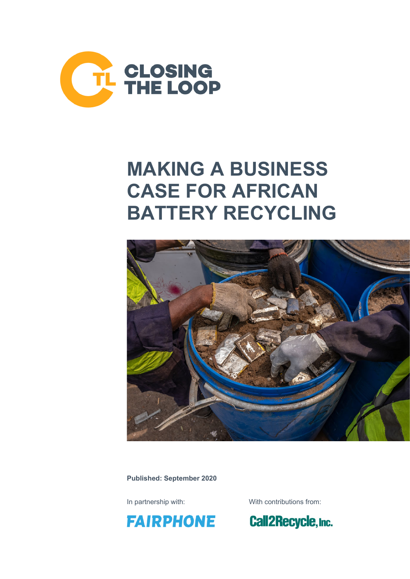

## **MAKING A BUSINESS CASE FOR AFRICAN BATTERY RECYCLING**



**Published: September 2020**



In partnership with: With contributions from:

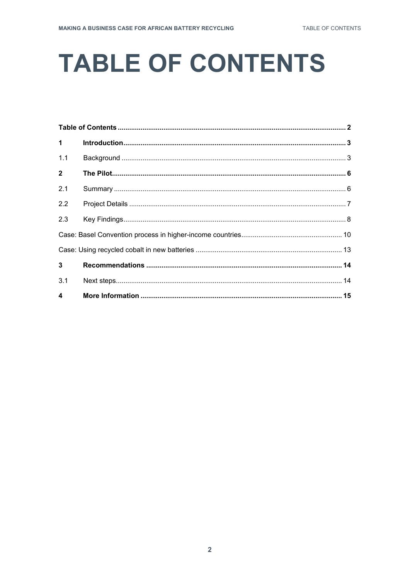# <span id="page-1-0"></span>**TABLE OF CONTENTS**

| $\mathbf{1}$     |  |  |
|------------------|--|--|
| 1.1              |  |  |
| $\overline{2}$   |  |  |
| 2.1              |  |  |
| 2.2              |  |  |
| 2.3              |  |  |
|                  |  |  |
|                  |  |  |
| $\mathbf{3}$     |  |  |
| 3.1              |  |  |
| $\blacktriangle$ |  |  |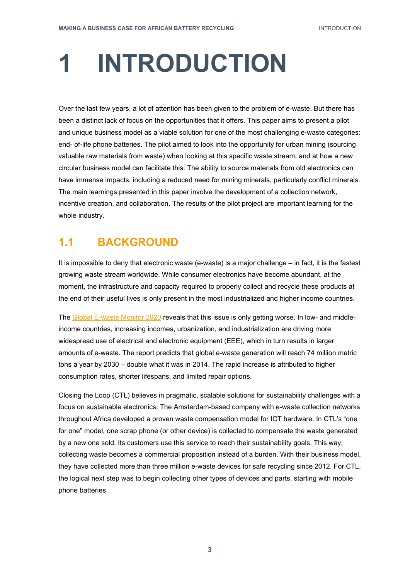# <span id="page-2-0"></span>**INTRODUCTION**

Over the last few years, a lot of attention has been given to the problem of e-waste. But there has been a distinct lack of focus on the opportunities that it offers. This paper aims to present a pilot and unique business model as a viable solution for one of the most challenging e-waste categories: end- of-life phone batteries. The pilot aimed to look into the opportunity for urban mining (sourcing valuable raw materials from waste) when looking at this specific waste stream, and at how a new circular business model can facilitate this. The ability to source materials from old electronics can have immense impacts, including a reduced need for mining minerals, particularly conflict minerals. The main learnings presented in this paper involve the development of a collection network, incentive creation, and collaboration. The results of the pilot project are important learning for the whole industry.

### <span id="page-2-1"></span>**1.1 BACKGROUND**

It is impossible to deny that electronic waste (e-waste) is a major challenge – in fact, it is the fastest growing waste stream worldwide. While consumer electronics have become abundant, at the moment, the infrastructure and capacity required to properly collect and recycle these products at the end of their useful lives is only present in the most industrialized and higher income countries.

The [Global E-waste Monitor 2020](https://www.iswa.org/home/news/news-detail/article/-21c8325490/109/) reveals that this issue is only getting worse. In low- and middleincome countries, increasing incomes, urbanization, and industrialization are driving more widespread use of electrical and electronic equipment (EEE), which in turn results in larger amounts of e-waste. The report predicts that global e-waste generation will reach 74 million metric tons a year by 2030 – double what it was in 2014. The rapid increase is attributed to higher consumption rates, shorter lifespans, and limited repair options.

Closing the Loop (CTL) believes in pragmatic, scalable solutions for sustainability challenges with a focus on sustainable electronics. The Amsterdam-based company with e-waste collection networks throughout Africa developed a proven waste compensation model for ICT hardware. In CTL's "one for one" model, one scrap phone (or other device) is collected to compensate the waste generated by a new one sold. Its customers use this service to reach their sustainability goals. This way, collecting waste becomes a commercial proposition instead of a burden. With their business model, they have collected more than three million e-waste devices for safe recycling since 2012. For CTL, the logical next step was to begin collecting other types of devices and parts, starting with mobile phone batteries.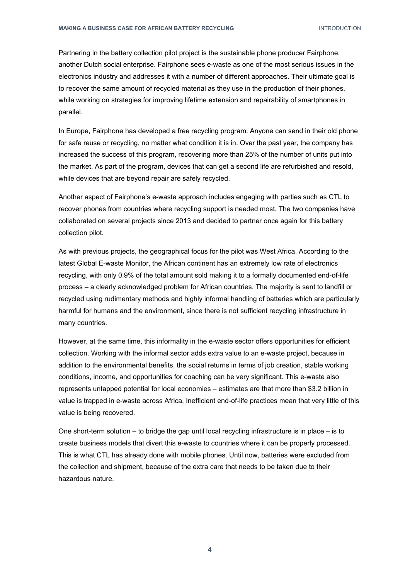Partnering in the battery collection pilot project is the sustainable phone producer Fairphone, another Dutch social enterprise. Fairphone sees e-waste as one of the most serious issues in the electronics industry and addresses it with a number of different approaches. Their ultimate goal is to recover the same amount of recycled material as they use in the production of their phones, while working on strategies for improving lifetime extension and repairability of smartphones in parallel.

In Europe, Fairphone has developed a free recycling program. Anyone can send in their old phone for safe reuse or recycling, no matter what condition it is in. Over the past year, the company has increased the success of this program, recovering more than 25% of the number of units put into the market. As part of the program, devices that can get a second life are refurbished and resold, while devices that are beyond repair are safely recycled.

Another aspect of Fairphone's e-waste approach includes engaging with parties such as CTL to recover phones from countries where recycling support is needed most. The two companies have collaborated on several projects since 2013 and decided to partner once again for this battery collection pilot.

As with previous projects, the geographical focus for the pilot was West Africa. According to the latest Global E-waste Monitor, the African continent has an extremely low rate of electronics recycling, with only 0.9% of the total amount sold making it to a formally documented end-of-life process – a clearly acknowledged problem for African countries. The majority is sent to landfill or recycled using rudimentary methods and highly informal handling of batteries which are particularly harmful for humans and the environment, since there is not sufficient recycling infrastructure in many countries.

However, at the same time, this informality in the e-waste sector offers opportunities for efficient collection. Working with the informal sector adds extra value to an e-waste project, because in addition to the environmental benefits, the social returns in terms of job creation, stable working conditions, income, and opportunities for coaching can be very significant. This e-waste also represents untapped potential for local economies – estimates are that more than \$3.2 billion in value is trapped in e-waste across Africa. Inefficient end-of-life practices mean that very little of this value is being recovered.

One short-term solution – to bridge the gap until local recycling infrastructure is in place – is to create business models that divert this e-waste to countries where it can be properly processed. This is what CTL has already done with mobile phones. Until now, batteries were excluded from the collection and shipment, because of the extra care that needs to be taken due to their hazardous nature.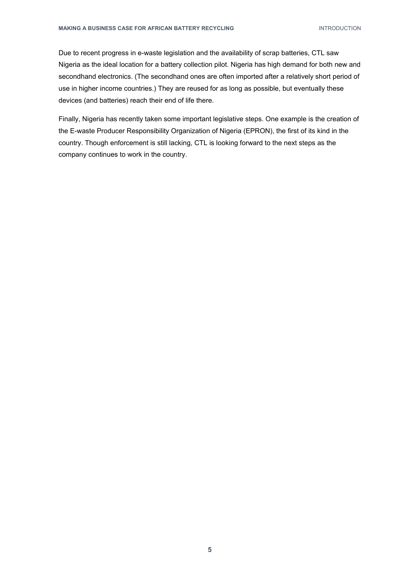Due to recent progress in e-waste legislation and the availability of scrap batteries, CTL saw Nigeria as the ideal location for a battery collection pilot. Nigeria has high demand for both new and secondhand electronics. (The secondhand ones are often imported after a relatively short period of use in higher income countries.) They are reused for as long as possible, but eventually these devices (and batteries) reach their end of life there.

Finally, Nigeria has recently taken some important legislative steps. One example is the creation of the E-waste Producer Responsibility Organization of Nigeria (EPRON), the first of its kind in the country. Though enforcement is still lacking, CTL is looking forward to the next steps as the company continues to work in the country.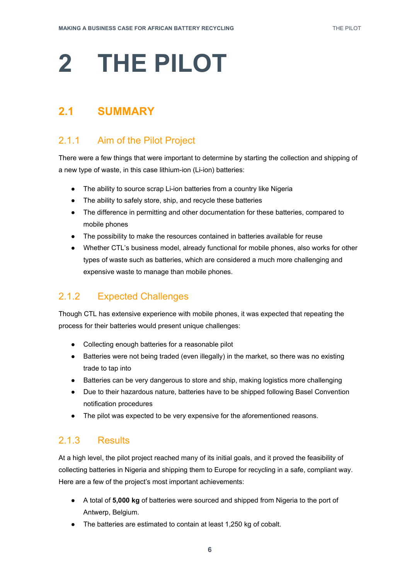# <span id="page-5-0"></span>**2 THE PILOT**

## <span id="page-5-1"></span>**2.1 SUMMARY**

### 2.1.1 Aim of the Pilot Project

There were a few things that were important to determine by starting the collection and shipping of a new type of waste, in this case lithium-ion (Li-ion) batteries:

- The ability to source scrap Li-ion batteries from a country like Nigeria
- The ability to safely store, ship, and recycle these batteries
- The difference in permitting and other documentation for these batteries, compared to mobile phones
- The possibility to make the resources contained in batteries available for reuse
- Whether CTL's business model, already functional for mobile phones, also works for other types of waste such as batteries, which are considered a much more challenging and expensive waste to manage than mobile phones.

#### 2.1.2 Expected Challenges

Though CTL has extensive experience with mobile phones, it was expected that repeating the process for their batteries would present unique challenges:

- Collecting enough batteries for a reasonable pilot
- Batteries were not being traded (even illegally) in the market, so there was no existing trade to tap into
- Batteries can be very dangerous to store and ship, making logistics more challenging
- Due to their hazardous nature, batteries have to be shipped following Basel Convention notification procedures
- The pilot was expected to be very expensive for the aforementioned reasons.

#### 2.1.3 Results

At a high level, the pilot project reached many of its initial goals, and it proved the feasibility of collecting batteries in Nigeria and shipping them to Europe for recycling in a safe, compliant way. Here are a few of the project's most important achievements:

- A total of **5,000 kg** of batteries were sourced and shipped from Nigeria to the port of Antwerp, Belgium.
- The batteries are estimated to contain at least 1,250 kg of cobalt.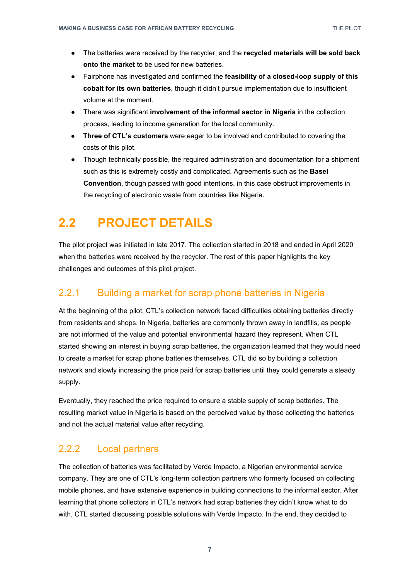- The batteries were received by the recycler, and the **recycled materials will be sold back onto the market** to be used for new batteries.
- Fairphone has investigated and confirmed the **feasibility of a closed-loop supply of this cobalt for its own batteries**, though it didn't pursue implementation due to insufficient volume at the moment.
- There was significant **involvement of the informal sector in Nigeria** in the collection process, leading to income generation for the local community.
- **Three of CTL's customers** were eager to be involved and contributed to covering the costs of this pilot.
- Though technically possible, the required administration and documentation for a shipment such as this is extremely costly and complicated. Agreements such as the **Basel Convention**, though passed with good intentions, in this case obstruct improvements in the recycling of electronic waste from countries like Nigeria.

## <span id="page-6-0"></span>**2.2 PROJECT DETAILS**

The pilot project was initiated in late 2017. The collection started in 2018 and ended in April 2020 when the batteries were received by the recycler. The rest of this paper highlights the key challenges and outcomes of this pilot project.

#### 2.2.1 Building a market for scrap phone batteries in Nigeria

At the beginning of the pilot, CTL's collection network faced difficulties obtaining batteries directly from residents and shops. In Nigeria, batteries are commonly thrown away in landfills, as people are not informed of the value and potential environmental hazard they represent. When CTL started showing an interest in buying scrap batteries, the organization learned that they would need to create a market for scrap phone batteries themselves. CTL did so by building a collection network and slowly increasing the price paid for scrap batteries until they could generate a steady supply.

Eventually, they reached the price required to ensure a stable supply of scrap batteries. The resulting market value in Nigeria is based on the perceived value by those collecting the batteries and not the actual material value after recycling.

#### 2.2.2 Local partners

The collection of batteries was facilitated by Verde Impacto, a Nigerian environmental service company. They are one of CTL's long-term collection partners who formerly focused on collecting mobile phones, and have extensive experience in building connections to the informal sector. After learning that phone collectors in CTL's network had scrap batteries they didn't know what to do with, CTL started discussing possible solutions with Verde Impacto. In the end, they decided to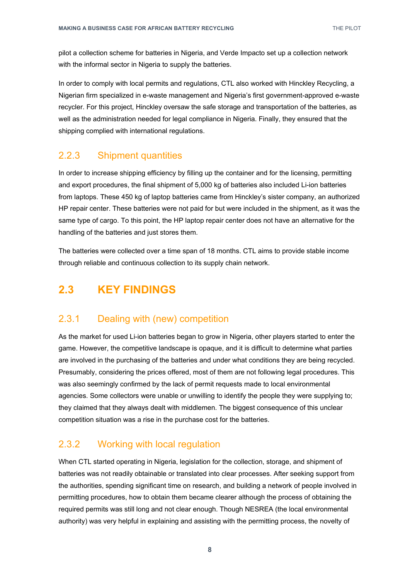pilot a collection scheme for batteries in Nigeria, and Verde Impacto set up a collection network with the informal sector in Nigeria to supply the batteries.

In order to comply with local permits and regulations, CTL also worked with Hinckley Recycling, a Nigerian firm specialized in e-waste management and Nigeria's first government-approved e-waste recycler. For this project, Hinckley oversaw the safe storage and transportation of the batteries, as well as the administration needed for legal compliance in Nigeria. Finally, they ensured that the shipping complied with international regulations.

#### 2.2.3 Shipment quantities

In order to increase shipping efficiency by filling up the container and for the licensing, permitting and export procedures, the final shipment of 5,000 kg of batteries also included Li-ion batteries from laptops. These 450 kg of laptop batteries came from Hinckley's sister company, an authorized HP repair center. These batteries were not paid for but were included in the shipment, as it was the same type of cargo. To this point, the HP laptop repair center does not have an alternative for the handling of the batteries and just stores them.

The batteries were collected over a time span of 18 months. CTL aims to provide stable income through reliable and continuous collection to its supply chain network.

## <span id="page-7-0"></span>**2.3 KEY FINDINGS**

#### 2.3.1 Dealing with (new) competition

As the market for used Li-ion batteries began to grow in Nigeria, other players started to enter the game. However, the competitive landscape is opaque, and it is difficult to determine what parties are involved in the purchasing of the batteries and under what conditions they are being recycled. Presumably, considering the prices offered, most of them are not following legal procedures. This was also seemingly confirmed by the lack of permit requests made to local environmental agencies. Some collectors were unable or unwilling to identify the people they were supplying to; they claimed that they always dealt with middlemen. The biggest consequence of this unclear competition situation was a rise in the purchase cost for the batteries.

#### 2.3.2 Working with local regulation

When CTL started operating in Nigeria, legislation for the collection, storage, and shipment of batteries was not readily obtainable or translated into clear processes. After seeking support from the authorities, spending significant time on research, and building a network of people involved in permitting procedures, how to obtain them became clearer although the process of obtaining the required permits was still long and not clear enough. Though NESREA (the local environmental authority) was very helpful in explaining and assisting with the permitting process, the novelty of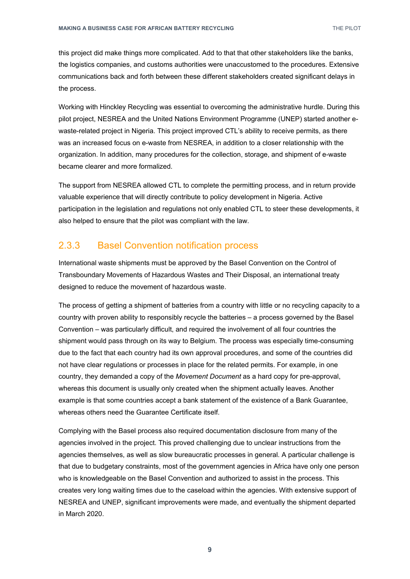this project did make things more complicated. Add to that that other stakeholders like the banks, the logistics companies, and customs authorities were unaccustomed to the procedures. Extensive communications back and forth between these different stakeholders created significant delays in the process.

Working with Hinckley Recycling was essential to overcoming the administrative hurdle. During this pilot project, NESREA and the United Nations Environment Programme (UNEP) started another ewaste-related project in Nigeria. This project improved CTL's ability to receive permits, as there was an increased focus on e-waste from NESREA, in addition to a closer relationship with the organization. In addition, many procedures for the collection, storage, and shipment of e-waste became clearer and more formalized.

The support from NESREA allowed CTL to complete the permitting process, and in return provide valuable experience that will directly contribute to policy development in Nigeria. Active participation in the legislation and regulations not only enabled CTL to steer these developments, it also helped to ensure that the pilot was compliant with the law.

#### 2.3.3 Basel Convention notification process

International waste shipments must be approved by the Basel Convention on the Control of Transboundary Movements of Hazardous Wastes and Their Disposal, an international treaty designed to reduce the movement of hazardous waste.

The process of getting a shipment of batteries from a country with little or no recycling capacity to a country with proven ability to responsibly recycle the batteries – a process governed by the Basel Convention – was particularly difficult, and required the involvement of all four countries the shipment would pass through on its way to Belgium. The process was especially time-consuming due to the fact that each country had its own approval procedures, and some of the countries did not have clear regulations or processes in place for the related permits. For example, in one country, they demanded a copy of the *Movement Document* as a hard copy for pre-approval, whereas this document is usually only created when the shipment actually leaves. Another example is that some countries accept a bank statement of the existence of a Bank Guarantee, whereas others need the Guarantee Certificate itself.

Complying with the Basel process also required documentation disclosure from many of the agencies involved in the project. This proved challenging due to unclear instructions from the agencies themselves, as well as slow bureaucratic processes in general. A particular challenge is that due to budgetary constraints, most of the government agencies in Africa have only one person who is knowledgeable on the Basel Convention and authorized to assist in the process. This creates very long waiting times due to the caseload within the agencies. With extensive support of NESREA and UNEP, significant improvements were made, and eventually the shipment departed in March 2020.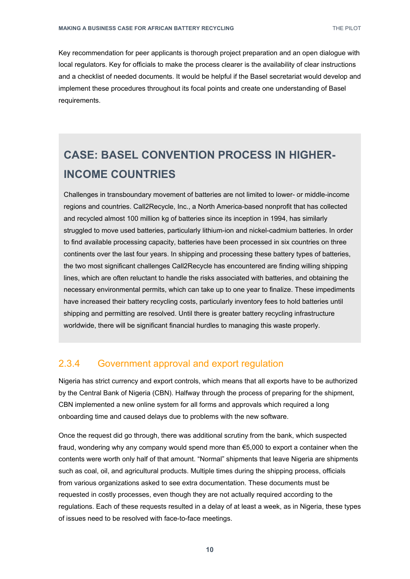Key recommendation for peer applicants is thorough project preparation and an open dialogue with local regulators. Key for officials to make the process clearer is the availability of clear instructions and a checklist of needed documents. It would be helpful if the Basel secretariat would develop and implement these procedures throughout its focal points and create one understanding of Basel requirements.

## **CASE: BASEL CONVENTION PROCESS IN HIGHER-INCOME COUNTRIES**

Challenges in transboundary movement of batteries are not limited to lower- or middle-income regions and countries. Call2Recycle, Inc., a North America-based nonprofit that has collected and recycled almost 100 million kg of batteries since its inception in 1994, has similarly struggled to move used batteries, particularly lithium-ion and nickel-cadmium batteries. In order to find available processing capacity, batteries have been processed in six countries on three continents over the last four years. In shipping and processing these battery types of batteries, the two most significant challenges Call2Recycle has encountered are finding willing shipping lines, which are often reluctant to handle the risks associated with batteries, and obtaining the necessary environmental permits, which can take up to one year to finalize. These impediments have increased their battery recycling costs, particularly inventory fees to hold batteries until shipping and permitting are resolved. Until there is greater battery recycling infrastructure worldwide, there will be significant financial hurdles to managing this waste properly.

#### 2.3.4 Government approval and export regulation

Nigeria has strict currency and export controls, which means that all exports have to be authorized by the Central Bank of Nigeria (CBN). Halfway through the process of preparing for the shipment, CBN implemented a new online system for all forms and approvals which required a long onboarding time and caused delays due to problems with the new software.

Once the request did go through, there was additional scrutiny from the bank, which suspected fraud, wondering why any company would spend more than €5,000 to export a container when the contents were worth only half of that amount. "Normal" shipments that leave Nigeria are shipments such as coal, oil, and agricultural products. Multiple times during the shipping process, officials from various organizations asked to see extra documentation. These documents must be requested in costly processes, even though they are not actually required according to the regulations. Each of these requests resulted in a delay of at least a week, as in Nigeria, these types of issues need to be resolved with face-to-face meetings.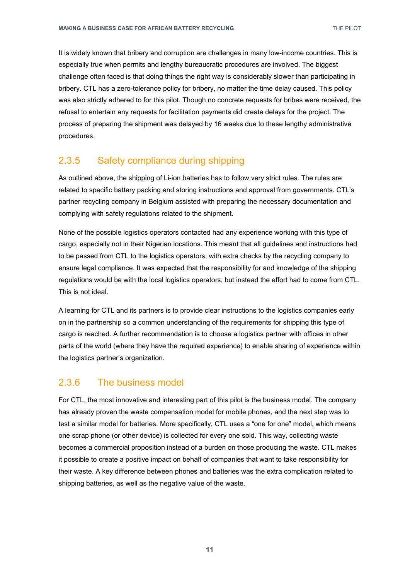It is widely known that bribery and corruption are challenges in many low-income countries. This is especially true when permits and lengthy bureaucratic procedures are involved. The biggest challenge often faced is that doing things the right way is considerably slower than participating in bribery. CTL has a zero-tolerance policy for bribery, no matter the time delay caused. This policy was also strictly adhered to for this pilot. Though no concrete requests for bribes were received, the refusal to entertain any requests for facilitation payments did create delays for the project. The process of preparing the shipment was delayed by 16 weeks due to these lengthy administrative procedures.

#### 2.3.5 Safety compliance during shipping

As outlined above, the shipping of Li-ion batteries has to follow very strict rules. The rules are related to specific battery packing and storing instructions and approval from governments. CTL's partner recycling company in Belgium assisted with preparing the necessary documentation and complying with safety regulations related to the shipment.

None of the possible logistics operators contacted had any experience working with this type of cargo, especially not in their Nigerian locations. This meant that all guidelines and instructions had to be passed from CTL to the logistics operators, with extra checks by the recycling company to ensure legal compliance. It was expected that the responsibility for and knowledge of the shipping regulations would be with the local logistics operators, but instead the effort had to come from CTL. This is not ideal.

A learning for CTL and its partners is to provide clear instructions to the logistics companies early on in the partnership so a common understanding of the requirements for shipping this type of cargo is reached. A further recommendation is to choose a logistics partner with offices in other parts of the world (where they have the required experience) to enable sharing of experience within the logistics partner's organization.

#### 2.3.6 The business model

For CTL, the most innovative and interesting part of this pilot is the business model. The company has already proven the waste compensation model for mobile phones, and the next step was to test a similar model for batteries. More specifically, CTL uses a "one for one" model, which means one scrap phone (or other device) is collected for every one sold. This way, collecting waste becomes a commercial proposition instead of a burden on those producing the waste. CTL makes it possible to create a positive impact on behalf of companies that want to take responsibility for their waste. A key difference between phones and batteries was the extra complication related to shipping batteries, as well as the negative value of the waste.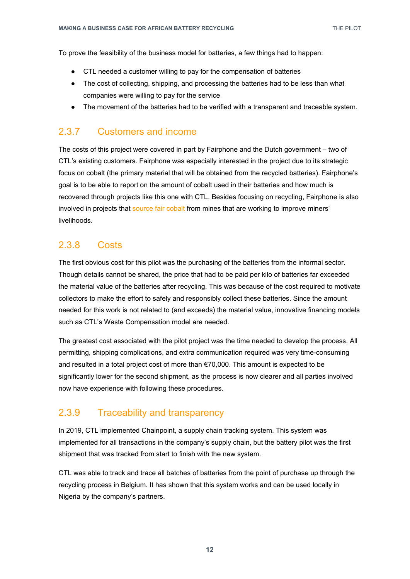To prove the feasibility of the business model for batteries, a few things had to happen:

- CTL needed a customer willing to pay for the compensation of batteries
- The cost of collecting, shipping, and processing the batteries had to be less than what companies were willing to pay for the service
- The movement of the batteries had to be verified with a transparent and traceable system.

#### 2.3.7 Customers and income

The costs of this project were covered in part by Fairphone and the Dutch government – two of CTL's existing customers. Fairphone was especially interested in the project due to its strategic focus on cobalt (the primary material that will be obtained from the recycled batteries). Fairphone's goal is to be able to report on the amount of cobalt used in their batteries and how much is recovered through projects like this one with CTL. Besides focusing on recycling, Fairphone is also involved in projects that [source fair cobalt](https://www.fairphone.com/en/2020/06/25/the-charged-debate-around-cobalt/) from mines that are working to improve miners' livelihoods.

#### 2.3.8 Costs

The first obvious cost for this pilot was the purchasing of the batteries from the informal sector. Though details cannot be shared, the price that had to be paid per kilo of batteries far exceeded the material value of the batteries after recycling. This was because of the cost required to motivate collectors to make the effort to safely and responsibly collect these batteries. Since the amount needed for this work is not related to (and exceeds) the material value, innovative financing models such as CTL's Waste Compensation model are needed.

The greatest cost associated with the pilot project was the time needed to develop the process. All permitting, shipping complications, and extra communication required was very time-consuming and resulted in a total project cost of more than €70,000. This amount is expected to be significantly lower for the second shipment, as the process is now clearer and all parties involved now have experience with following these procedures.

#### 2.3.9 Traceability and transparency

In 2019, CTL implemented Chainpoint, a supply chain tracking system. This system was implemented for all transactions in the company's supply chain, but the battery pilot was the first shipment that was tracked from start to finish with the new system.

CTL was able to track and trace all batches of batteries from the point of purchase up through the recycling process in Belgium. It has shown that this system works and can be used locally in Nigeria by the company's partners.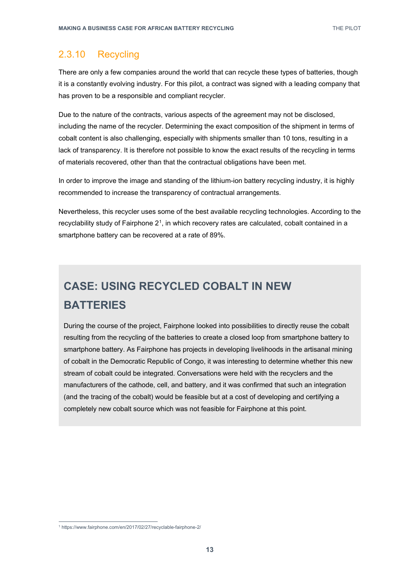#### 2.3.10 Recycling

There are only a few companies around the world that can recycle these types of batteries, though it is a constantly evolving industry. For this pilot, a contract was signed with a leading company that has proven to be a responsible and compliant recycler.

Due to the nature of the contracts, various aspects of the agreement may not be disclosed, including the name of the recycler. Determining the exact composition of the shipment in terms of cobalt content is also challenging, especially with shipments smaller than 10 tons, resulting in a lack of transparency. It is therefore not possible to know the exact results of the recycling in terms of materials recovered, other than that the contractual obligations have been met.

In order to improve the image and standing of the lithium-ion battery recycling industry, it is highly recommended to increase the transparency of contractual arrangements.

Nevertheless, this recycler uses some of the best available recycling technologies. According to the recyclability study of Fairphone  $2<sup>1</sup>$ , in which recovery rates are calculated, cobalt contained in a smartphone battery can be recovered at a rate of 89%.

## **CASE: USING RECYCLED COBALT IN NEW BATTERIES**

During the course of the project, Fairphone looked into possibilities to directly reuse the cobalt resulting from the recycling of the batteries to create a closed loop from smartphone battery to smartphone battery. As Fairphone has projects in developing livelihoods in the artisanal mining of cobalt in the Democratic Republic of Congo, it was interesting to determine whether this new stream of cobalt could be integrated. Conversations were held with the recyclers and the manufacturers of the cathode, cell, and battery, and it was confirmed that such an integration (and the tracing of the cobalt) would be feasible but at a cost of developing and certifying a completely new cobalt source which was not feasible for Fairphone at this point.

<span id="page-12-0"></span> <sup>1</sup> https://www.fairphone.com/en/2017/02/27/recyclable-fairphone-2/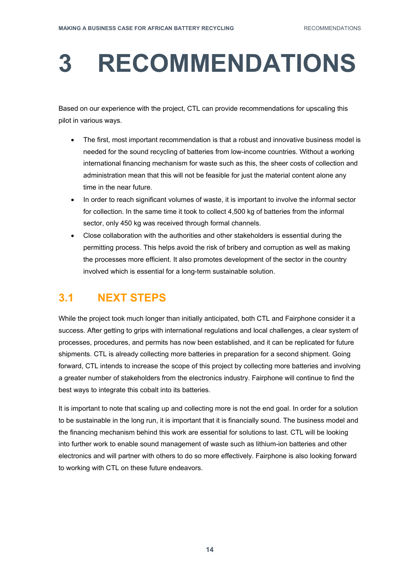# <span id="page-13-0"></span>**3 RECOMMENDATIONS**

Based on our experience with the project, CTL can provide recommendations for upscaling this pilot in various ways.

- The first, most important recommendation is that a robust and innovative business model is needed for the sound recycling of batteries from low-income countries. Without a working international financing mechanism for waste such as this, the sheer costs of collection and administration mean that this will not be feasible for just the material content alone any time in the near future.
- In order to reach significant volumes of waste, it is important to involve the informal sector for collection. In the same time it took to collect 4,500 kg of batteries from the informal sector, only 450 kg was received through formal channels.
- Close collaboration with the authorities and other stakeholders is essential during the permitting process. This helps avoid the risk of bribery and corruption as well as making the processes more efficient. It also promotes development of the sector in the country involved which is essential for a long-term sustainable solution.

## <span id="page-13-1"></span>**3.1 NEXT STEPS**

While the project took much longer than initially anticipated, both CTL and Fairphone consider it a success. After getting to grips with international regulations and local challenges, a clear system of processes, procedures, and permits has now been established, and it can be replicated for future shipments. CTL is already collecting more batteries in preparation for a second shipment. Going forward, CTL intends to increase the scope of this project by collecting more batteries and involving a greater number of stakeholders from the electronics industry. Fairphone will continue to find the best ways to integrate this cobalt into its batteries.

It is important to note that scaling up and collecting more is not the end goal. In order for a solution to be sustainable in the long run, it is important that it is financially sound. The business model and the financing mechanism behind this work are essential for solutions to last. CTL will be looking into further work to enable sound management of waste such as lithium-ion batteries and other electronics and will partner with others to do so more effectively. Fairphone is also looking forward to working with CTL on these future endeavors.